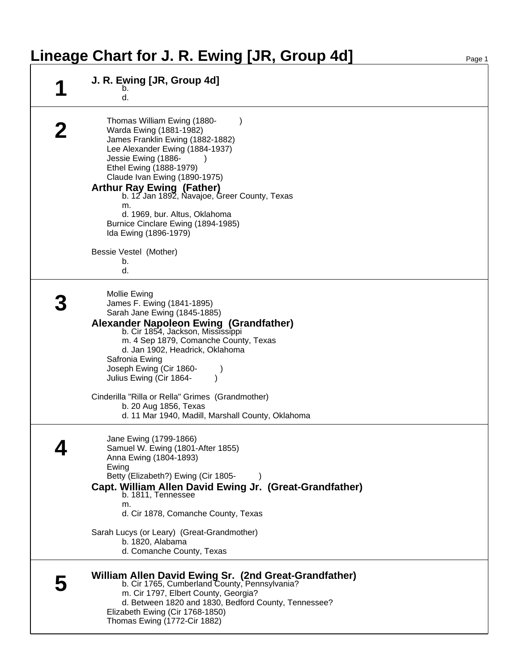## Lineage Chart for J. R. Ewing [JR, Group 4d]

| J. R. Ewing [JR, Group 4d]                                                                                                                                                                                                                                                                                                                                                                                                          |
|-------------------------------------------------------------------------------------------------------------------------------------------------------------------------------------------------------------------------------------------------------------------------------------------------------------------------------------------------------------------------------------------------------------------------------------|
| d.                                                                                                                                                                                                                                                                                                                                                                                                                                  |
| Thomas William Ewing (1880-<br>Warda Ewing (1881-1982)<br>James Franklin Ewing (1882-1882)<br>Lee Alexander Ewing (1884-1937)<br>Jessie Ewing (1886-<br>Ethel Ewing (1888-1979)<br>Claude Ivan Ewing (1890-1975)<br>Arthur Ray Ewing (Father)<br>b. 12 Jan 1892, Navajoe, Greer County, Texas<br>m.<br>d. 1969, bur. Altus, Oklahoma<br>Burnice Cinclare Ewing (1894-1985)<br>Ida Ewing (1896-1979)<br>Bessie Vestel (Mother)<br>b. |
| d.                                                                                                                                                                                                                                                                                                                                                                                                                                  |
| <b>Mollie Ewing</b><br>James F. Ewing (1841-1895)<br>Sarah Jane Ewing (1845-1885)<br>Alexander Napoleon Ewing (Grandfather)<br>b. Cir 1854, Jackson, Mississippi<br>m. 4 Sep 1879, Comanche County, Texas<br>d. Jan 1902, Headrick, Oklahoma<br>Safronia Ewing<br>Joseph Ewing (Cir 1860-<br>Julius Ewing (Cir 1864-<br>Cinderilla "Rilla or Rella" Grimes (Grandmother)<br>b. 20 Aug 1856, Texas                                   |
| d. 11 Mar 1940, Madill, Marshall County, Oklahoma                                                                                                                                                                                                                                                                                                                                                                                   |
| Jane Ewing (1799-1866)<br>Samuel W. Ewing (1801-After 1855)<br>Anna Ewing (1804-1893)<br>Ewing<br>Betty (Elizabeth?) Ewing (Cir 1805-<br>Capt. William Allen David Ewing Jr. (Great-Grandfather)<br>b. 1811, Tennessee<br>m.<br>d. Cir 1878, Comanche County, Texas                                                                                                                                                                 |
| Sarah Lucys (or Leary) (Great-Grandmother)<br>b. 1820, Alabama<br>d. Comanche County, Texas                                                                                                                                                                                                                                                                                                                                         |
| William Allen David Ewing Sr. (2nd Great-Grandfather)<br>b. Cir 1765, Cumberland County, Pennsylvania?<br>m. Cir 1797, Elbert County, Georgia?<br>d. Between 1820 and 1830, Bedford County, Tennessee?<br>Elizabeth Ewing (Cir 1768-1850)<br>Thomas Ewing (1772-Cir 1882)                                                                                                                                                           |